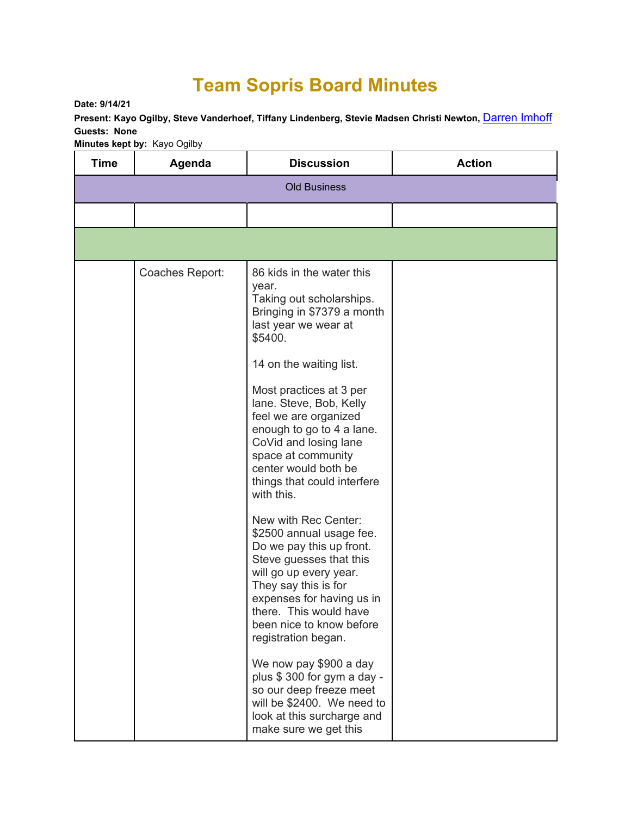## **Team Sopris Board Minutes**

**Date: 9/14/21** 

Present: Kayo Ogilby, Steve Vanderhoef, Tiffany Lindenberg, Stevie Madsen Christi Newton, **Darren Imhoff Guests: None** 

**Minutes kept by:** Kayo Ogilby

| <b>Time</b>         | Agenda          | <b>Discussion</b>                                                                                                                                                                                                                                                                                                                                                                                                                                                                                                                                                                    | <b>Action</b> |
|---------------------|-----------------|--------------------------------------------------------------------------------------------------------------------------------------------------------------------------------------------------------------------------------------------------------------------------------------------------------------------------------------------------------------------------------------------------------------------------------------------------------------------------------------------------------------------------------------------------------------------------------------|---------------|
| <b>Old Business</b> |                 |                                                                                                                                                                                                                                                                                                                                                                                                                                                                                                                                                                                      |               |
|                     |                 |                                                                                                                                                                                                                                                                                                                                                                                                                                                                                                                                                                                      |               |
|                     |                 |                                                                                                                                                                                                                                                                                                                                                                                                                                                                                                                                                                                      |               |
|                     | Coaches Report: | 86 kids in the water this<br>year.<br>Taking out scholarships.<br>Bringing in \$7379 a month<br>last year we wear at<br>\$5400.<br>14 on the waiting list.<br>Most practices at 3 per<br>lane. Steve, Bob, Kelly<br>feel we are organized<br>enough to go to 4 a lane.<br>CoVid and losing lane<br>space at community<br>center would both be<br>things that could interfere<br>with this.<br>New with Rec Center:<br>\$2500 annual usage fee.<br>Do we pay this up front.<br>Steve guesses that this<br>will go up every year.<br>They say this is for<br>expenses for having us in |               |
|                     |                 | there. This would have<br>been nice to know before<br>registration began.                                                                                                                                                                                                                                                                                                                                                                                                                                                                                                            |               |
|                     |                 | We now pay \$900 a day<br>plus \$300 for gym a day -<br>so our deep freeze meet<br>will be \$2400. We need to<br>look at this surcharge and<br>make sure we get this                                                                                                                                                                                                                                                                                                                                                                                                                 |               |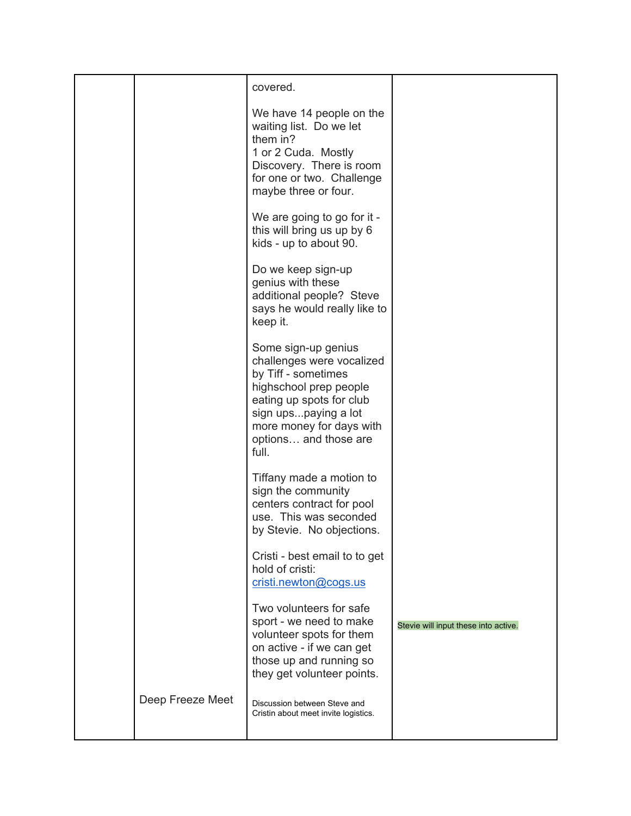|                  | covered.                                                                                                                                                                                                            |                                      |
|------------------|---------------------------------------------------------------------------------------------------------------------------------------------------------------------------------------------------------------------|--------------------------------------|
|                  | We have 14 people on the<br>waiting list. Do we let<br>them in?<br>1 or 2 Cuda. Mostly<br>Discovery. There is room<br>for one or two. Challenge<br>maybe three or four.                                             |                                      |
|                  | We are going to go for it -<br>this will bring us up by 6<br>kids - up to about 90.                                                                                                                                 |                                      |
|                  | Do we keep sign-up<br>genius with these<br>additional people? Steve<br>says he would really like to<br>keep it.                                                                                                     |                                      |
|                  | Some sign-up genius<br>challenges were vocalized<br>by Tiff - sometimes<br>highschool prep people<br>eating up spots for club<br>sign upspaying a lot<br>more money for days with<br>options and those are<br>full. |                                      |
|                  | Tiffany made a motion to<br>sign the community<br>centers contract for pool<br>use. This was seconded<br>by Stevie. No objections                                                                                   |                                      |
|                  | Cristi - best email to to get<br>hold of cristi:<br>cristi.newton@cogs.us                                                                                                                                           |                                      |
|                  | Two volunteers for safe<br>sport - we need to make<br>volunteer spots for them<br>on active - if we can get<br>those up and running so<br>they get volunteer points.                                                | Stevie will input these into active. |
| Deep Freeze Meet | Discussion between Steve and<br>Cristin about meet invite logistics.                                                                                                                                                |                                      |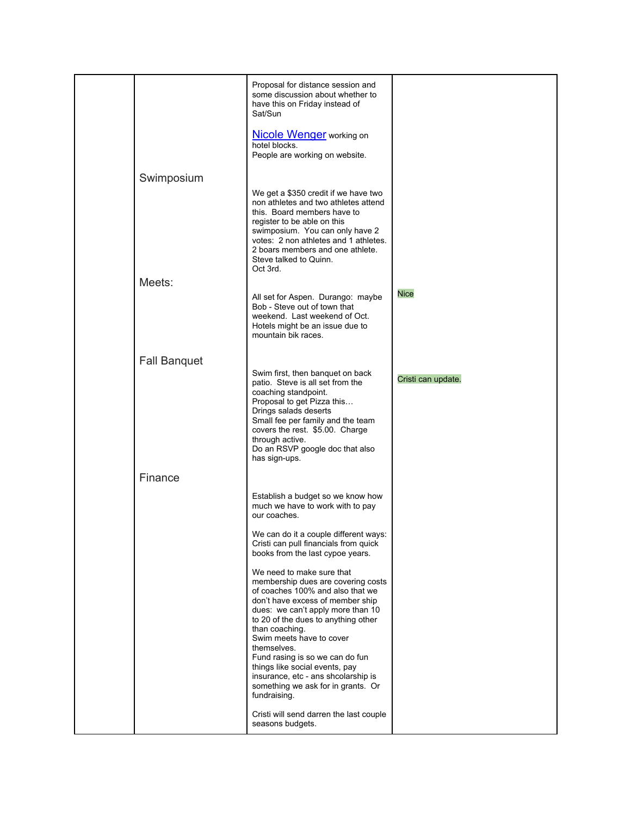|                     | Proposal for distance session and<br>some discussion about whether to<br>have this on Friday instead of<br>Sat/Sun<br>Nicole Wenger working on                                                                                                                                                                                                                                                                                                     |                    |
|---------------------|----------------------------------------------------------------------------------------------------------------------------------------------------------------------------------------------------------------------------------------------------------------------------------------------------------------------------------------------------------------------------------------------------------------------------------------------------|--------------------|
|                     | hotel blocks.<br>People are working on website.                                                                                                                                                                                                                                                                                                                                                                                                    |                    |
| Swimposium          |                                                                                                                                                                                                                                                                                                                                                                                                                                                    |                    |
|                     | We get a \$350 credit if we have two<br>non athletes and two athletes attend<br>this. Board members have to<br>register to be able on this<br>swimposium. You can only have 2<br>votes: 2 non athletes and 1 athletes.<br>2 boars members and one athlete.<br>Steve talked to Quinn.<br>Oct 3rd.                                                                                                                                                   |                    |
| Meets:              |                                                                                                                                                                                                                                                                                                                                                                                                                                                    |                    |
|                     | All set for Aspen. Durango: maybe<br>Bob - Steve out of town that<br>weekend. Last weekend of Oct.<br>Hotels might be an issue due to<br>mountain bik races.                                                                                                                                                                                                                                                                                       | <b>Nice</b>        |
| <b>Fall Banquet</b> |                                                                                                                                                                                                                                                                                                                                                                                                                                                    |                    |
|                     | Swim first, then banquet on back<br>patio. Steve is all set from the<br>coaching standpoint.<br>Proposal to get Pizza this<br>Drings salads deserts<br>Small fee per family and the team<br>covers the rest. \$5.00. Charge<br>through active.<br>Do an RSVP google doc that also<br>has sign-ups.                                                                                                                                                 | Cristi can update. |
| Finance             |                                                                                                                                                                                                                                                                                                                                                                                                                                                    |                    |
|                     | Establish a budget so we know how<br>much we have to work with to pay<br>our coaches.                                                                                                                                                                                                                                                                                                                                                              |                    |
|                     | We can do it a couple different ways:<br>Cristi can pull financials from quick<br>books from the last cypoe years.                                                                                                                                                                                                                                                                                                                                 |                    |
|                     | We need to make sure that<br>membership dues are covering costs<br>of coaches 100% and also that we<br>don't have excess of member ship<br>dues: we can't apply more than 10<br>to 20 of the dues to anything other<br>than coaching.<br>Swim meets have to cover<br>themselves.<br>Fund rasing is so we can do fun<br>things like social events, pay<br>insurance, etc - ans shcolarship is<br>something we ask for in grants. Or<br>fundraising. |                    |
|                     | Cristi will send darren the last couple<br>seasons budgets.                                                                                                                                                                                                                                                                                                                                                                                        |                    |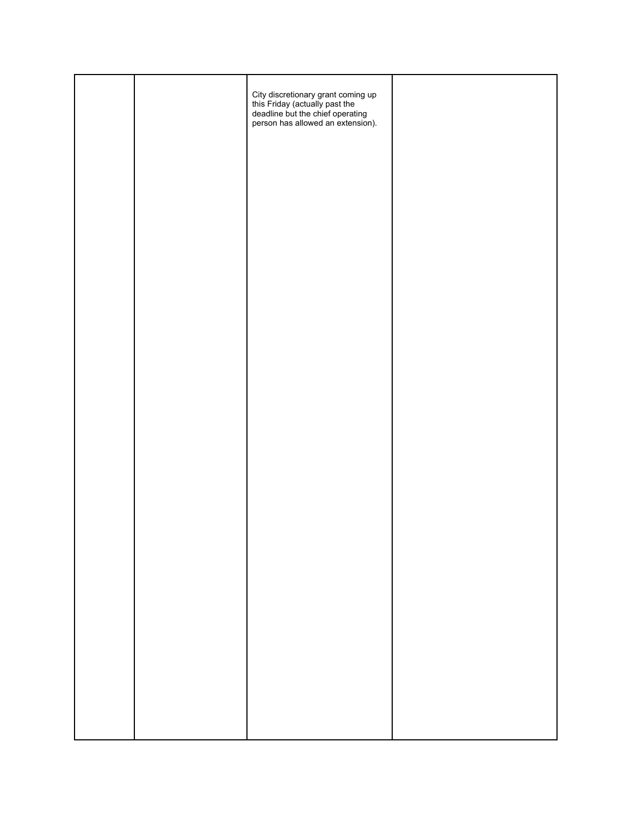|  | City discretionary grant coming up<br>this Friday (actually past the<br>deadline but the chief operating<br>person has allowed an extension). |  |
|--|-----------------------------------------------------------------------------------------------------------------------------------------------|--|
|  |                                                                                                                                               |  |
|  |                                                                                                                                               |  |
|  |                                                                                                                                               |  |
|  |                                                                                                                                               |  |
|  |                                                                                                                                               |  |
|  |                                                                                                                                               |  |
|  |                                                                                                                                               |  |
|  |                                                                                                                                               |  |
|  |                                                                                                                                               |  |
|  |                                                                                                                                               |  |
|  |                                                                                                                                               |  |